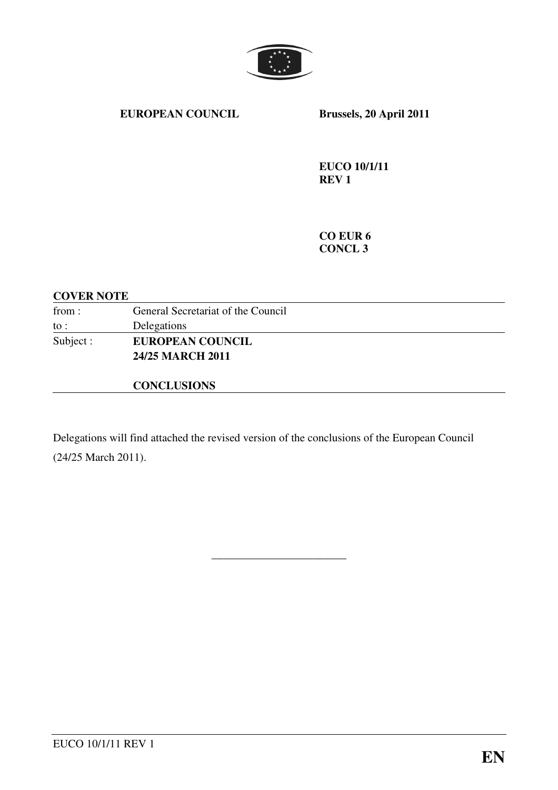

## **EUROPEAN COUNCIL Brussels, 20 April 2011**

**EUCO 10/1/11 REV 1** 

**CO EUR 6 CONCL 3** 

#### **COVER NOTE**

| General Secretariat of the Council |  |
|------------------------------------|--|
| Delegations                        |  |
| <b>EUROPEAN COUNCIL</b>            |  |
| <b>24/25 MARCH 2011</b>            |  |
|                                    |  |

## **CONCLUSIONS**

Delegations will find attached the revised version of the conclusions of the European Council (24/25 March 2011).

\_\_\_\_\_\_\_\_\_\_\_\_\_\_\_\_\_\_\_\_\_\_\_\_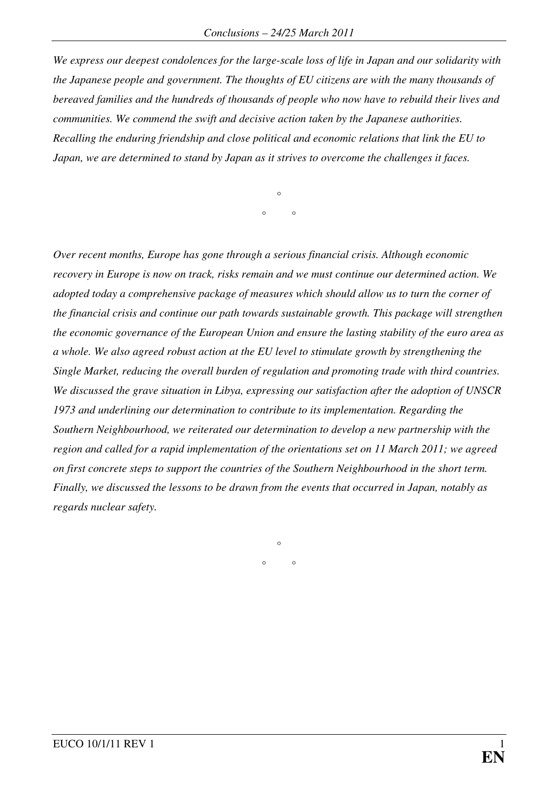*We express our deepest condolences for the large-scale loss of life in Japan and our solidarity with the Japanese people and government. The thoughts of EU citizens are with the many thousands of bereaved families and the hundreds of thousands of people who now have to rebuild their lives and communities. We commend the swift and decisive action taken by the Japanese authorities. Recalling the enduring friendship and close political and economic relations that link the EU to Japan, we are determined to stand by Japan as it strives to overcome the challenges it faces.* 

> $\sim$  $\circ$   $\circ$

*Over recent months, Europe has gone through a serious financial crisis. Although economic recovery in Europe is now on track, risks remain and we must continue our determined action. We adopted today a comprehensive package of measures which should allow us to turn the corner of the financial crisis and continue our path towards sustainable growth. This package will strengthen the economic governance of the European Union and ensure the lasting stability of the euro area as a whole. We also agreed robust action at the EU level to stimulate growth by strengthening the Single Market, reducing the overall burden of regulation and promoting trade with third countries. We discussed the grave situation in Libya, expressing our satisfaction after the adoption of UNSCR 1973 and underlining our determination to contribute to its implementation. Regarding the Southern Neighbourhood, we reiterated our determination to develop a new partnership with the region and called for a rapid implementation of the orientations set on 11 March 2011; we agreed on first concrete steps to support the countries of the Southern Neighbourhood in the short term. Finally, we discussed the lessons to be drawn from the events that occurred in Japan, notably as regards nuclear safety.* 

 $\circ$   $\circ$ 

 $\circ$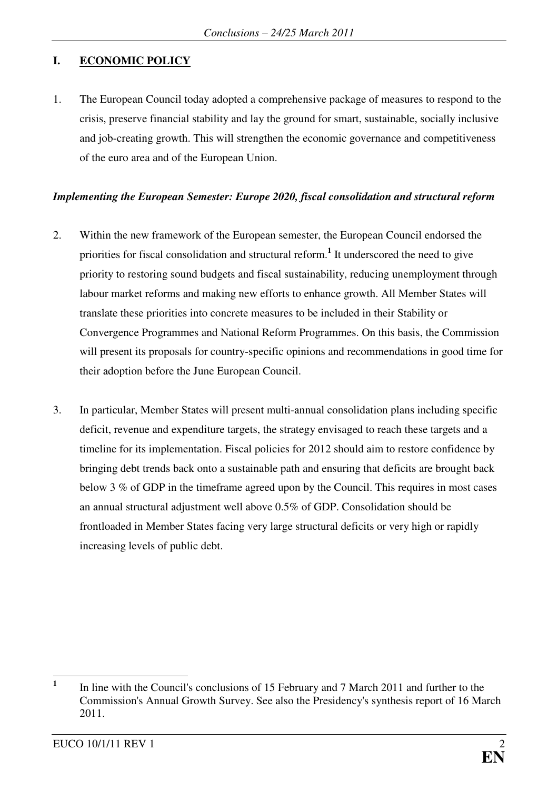# **I. ECONOMIC POLICY**

1. The European Council today adopted a comprehensive package of measures to respond to the crisis, preserve financial stability and lay the ground for smart, sustainable, socially inclusive and job-creating growth. This will strengthen the economic governance and competitiveness of the euro area and of the European Union.

## *Implementing the European Semester: Europe 2020, fiscal consolidation and structural reform*

- 2. Within the new framework of the European semester, the European Council endorsed the priorities for fiscal consolidation and structural reform.**<sup>1</sup>** It underscored the need to give priority to restoring sound budgets and fiscal sustainability, reducing unemployment through labour market reforms and making new efforts to enhance growth. All Member States will translate these priorities into concrete measures to be included in their Stability or Convergence Programmes and National Reform Programmes. On this basis, the Commission will present its proposals for country-specific opinions and recommendations in good time for their adoption before the June European Council.
- 3. In particular, Member States will present multi-annual consolidation plans including specific deficit, revenue and expenditure targets, the strategy envisaged to reach these targets and a timeline for its implementation. Fiscal policies for 2012 should aim to restore confidence by bringing debt trends back onto a sustainable path and ensuring that deficits are brought back below 3 % of GDP in the timeframe agreed upon by the Council. This requires in most cases an annual structural adjustment well above 0.5% of GDP. Consolidation should be frontloaded in Member States facing very large structural deficits or very high or rapidly increasing levels of public debt.

 **1** In line with the Council's conclusions of 15 February and 7 March 2011 and further to the Commission's Annual Growth Survey. See also the Presidency's synthesis report of 16 March 2011.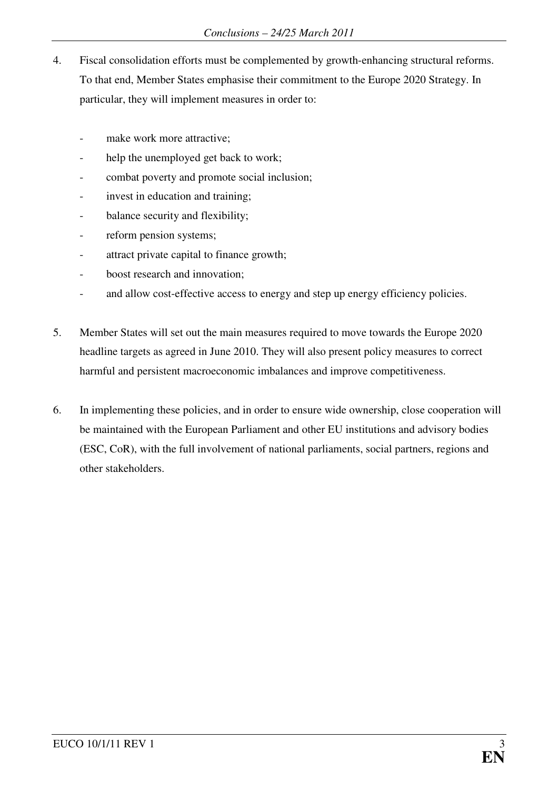- 4. Fiscal consolidation efforts must be complemented by growth-enhancing structural reforms. To that end, Member States emphasise their commitment to the Europe 2020 Strategy. In particular, they will implement measures in order to:
	- make work more attractive;
	- help the unemployed get back to work;
	- combat poverty and promote social inclusion;
	- invest in education and training;
	- balance security and flexibility;
	- reform pension systems;
	- attract private capital to finance growth;
	- boost research and innovation:
	- and allow cost-effective access to energy and step up energy efficiency policies.
- 5. Member States will set out the main measures required to move towards the Europe 2020 headline targets as agreed in June 2010. They will also present policy measures to correct harmful and persistent macroeconomic imbalances and improve competitiveness.
- 6. In implementing these policies, and in order to ensure wide ownership, close cooperation will be maintained with the European Parliament and other EU institutions and advisory bodies (ESC, CoR), with the full involvement of national parliaments, social partners, regions and other stakeholders.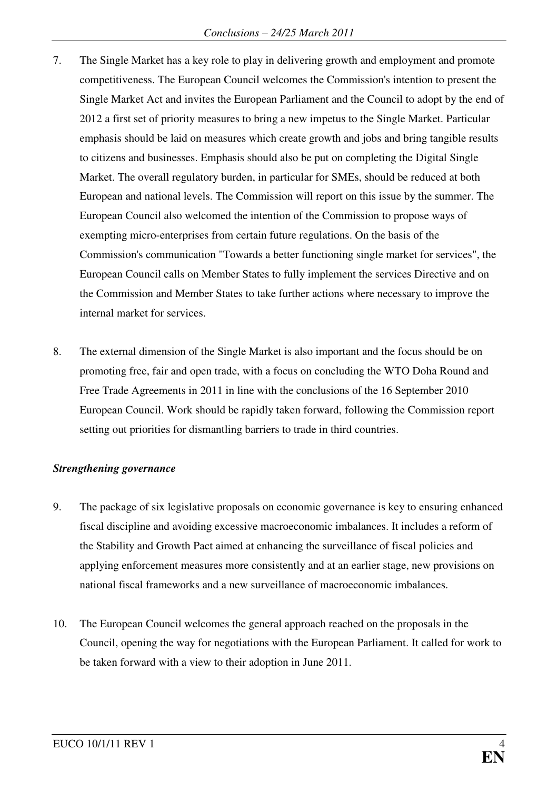- 7. The Single Market has a key role to play in delivering growth and employment and promote competitiveness. The European Council welcomes the Commission's intention to present the Single Market Act and invites the European Parliament and the Council to adopt by the end of 2012 a first set of priority measures to bring a new impetus to the Single Market. Particular emphasis should be laid on measures which create growth and jobs and bring tangible results to citizens and businesses. Emphasis should also be put on completing the Digital Single Market. The overall regulatory burden, in particular for SMEs, should be reduced at both European and national levels. The Commission will report on this issue by the summer. The European Council also welcomed the intention of the Commission to propose ways of exempting micro-enterprises from certain future regulations. On the basis of the Commission's communication "Towards a better functioning single market for services", the European Council calls on Member States to fully implement the services Directive and on the Commission and Member States to take further actions where necessary to improve the internal market for services.
- 8. The external dimension of the Single Market is also important and the focus should be on promoting free, fair and open trade, with a focus on concluding the WTO Doha Round and Free Trade Agreements in 2011 in line with the conclusions of the 16 September 2010 European Council. Work should be rapidly taken forward, following the Commission report setting out priorities for dismantling barriers to trade in third countries.

## *Strengthening governance*

- 9. The package of six legislative proposals on economic governance is key to ensuring enhanced fiscal discipline and avoiding excessive macroeconomic imbalances. It includes a reform of the Stability and Growth Pact aimed at enhancing the surveillance of fiscal policies and applying enforcement measures more consistently and at an earlier stage, new provisions on national fiscal frameworks and a new surveillance of macroeconomic imbalances.
- 10. The European Council welcomes the general approach reached on the proposals in the Council, opening the way for negotiations with the European Parliament. It called for work to be taken forward with a view to their adoption in June 2011.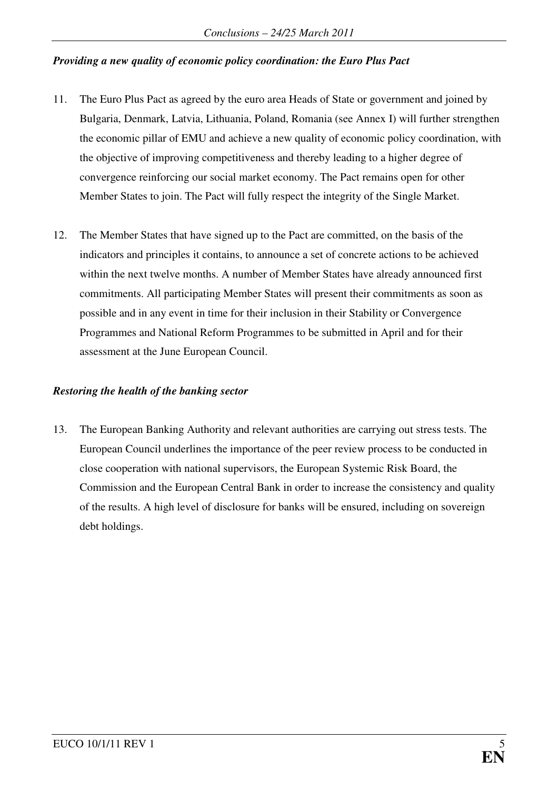## *Providing a new quality of economic policy coordination: the Euro Plus Pact*

- 11. The Euro Plus Pact as agreed by the euro area Heads of State or government and joined by Bulgaria, Denmark, Latvia, Lithuania, Poland, Romania (see Annex I) will further strengthen the economic pillar of EMU and achieve a new quality of economic policy coordination, with the objective of improving competitiveness and thereby leading to a higher degree of convergence reinforcing our social market economy. The Pact remains open for other Member States to join. The Pact will fully respect the integrity of the Single Market.
- 12. The Member States that have signed up to the Pact are committed, on the basis of the indicators and principles it contains, to announce a set of concrete actions to be achieved within the next twelve months. A number of Member States have already announced first commitments. All participating Member States will present their commitments as soon as possible and in any event in time for their inclusion in their Stability or Convergence Programmes and National Reform Programmes to be submitted in April and for their assessment at the June European Council.

## *Restoring the health of the banking sector*

13. The European Banking Authority and relevant authorities are carrying out stress tests. The European Council underlines the importance of the peer review process to be conducted in close cooperation with national supervisors, the European Systemic Risk Board, the Commission and the European Central Bank in order to increase the consistency and quality of the results. A high level of disclosure for banks will be ensured, including on sovereign debt holdings.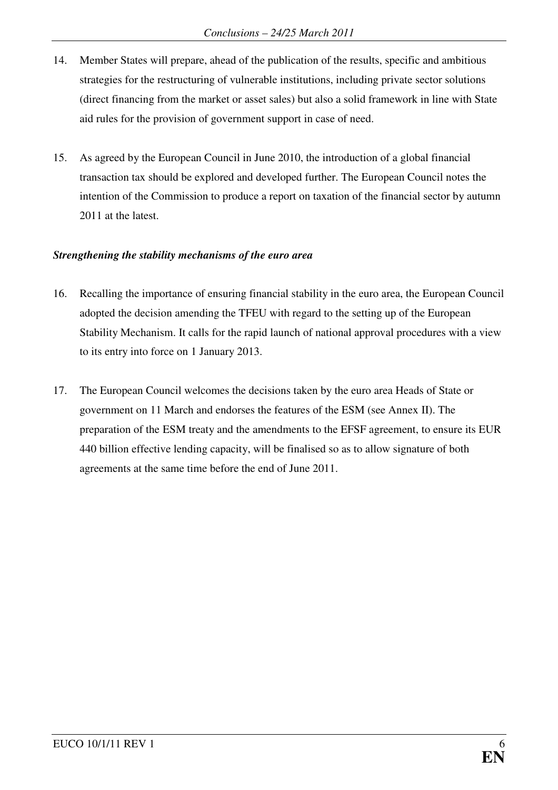- 14. Member States will prepare, ahead of the publication of the results, specific and ambitious strategies for the restructuring of vulnerable institutions, including private sector solutions (direct financing from the market or asset sales) but also a solid framework in line with State aid rules for the provision of government support in case of need.
- 15. As agreed by the European Council in June 2010, the introduction of a global financial transaction tax should be explored and developed further. The European Council notes the intention of the Commission to produce a report on taxation of the financial sector by autumn 2011 at the latest.

## *Strengthening the stability mechanisms of the euro area*

- 16. Recalling the importance of ensuring financial stability in the euro area, the European Council adopted the decision amending the TFEU with regard to the setting up of the European Stability Mechanism. It calls for the rapid launch of national approval procedures with a view to its entry into force on 1 January 2013.
- 17. The European Council welcomes the decisions taken by the euro area Heads of State or government on 11 March and endorses the features of the ESM (see Annex II). The preparation of the ESM treaty and the amendments to the EFSF agreement, to ensure its EUR 440 billion effective lending capacity, will be finalised so as to allow signature of both agreements at the same time before the end of June 2011.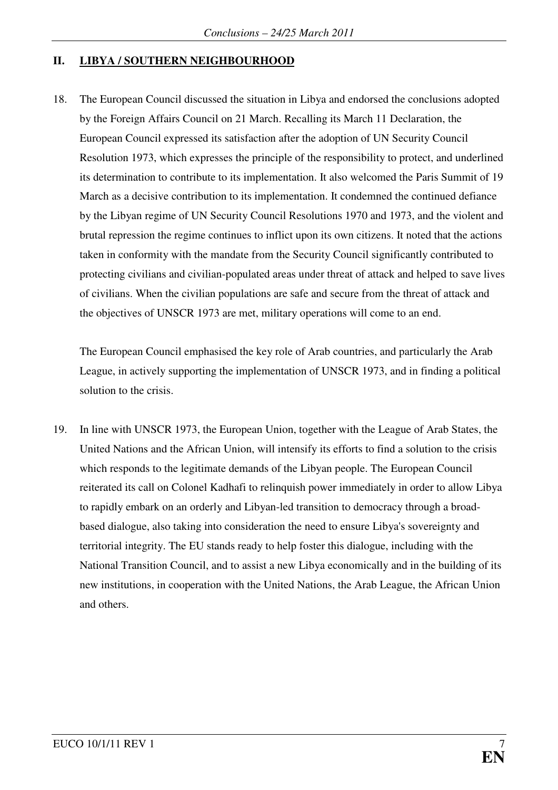## **II. LIBYA / SOUTHERN NEIGHBOURHOOD**

18. The European Council discussed the situation in Libya and endorsed the conclusions adopted by the Foreign Affairs Council on 21 March. Recalling its March 11 Declaration, the European Council expressed its satisfaction after the adoption of UN Security Council Resolution 1973, which expresses the principle of the responsibility to protect, and underlined its determination to contribute to its implementation. It also welcomed the Paris Summit of 19 March as a decisive contribution to its implementation. It condemned the continued defiance by the Libyan regime of UN Security Council Resolutions 1970 and 1973, and the violent and brutal repression the regime continues to inflict upon its own citizens. It noted that the actions taken in conformity with the mandate from the Security Council significantly contributed to protecting civilians and civilian-populated areas under threat of attack and helped to save lives of civilians. When the civilian populations are safe and secure from the threat of attack and the objectives of UNSCR 1973 are met, military operations will come to an end.

The European Council emphasised the key role of Arab countries, and particularly the Arab League, in actively supporting the implementation of UNSCR 1973, and in finding a political solution to the crisis.

19. In line with UNSCR 1973, the European Union, together with the League of Arab States, the United Nations and the African Union, will intensify its efforts to find a solution to the crisis which responds to the legitimate demands of the Libyan people. The European Council reiterated its call on Colonel Kadhafi to relinquish power immediately in order to allow Libya to rapidly embark on an orderly and Libyan-led transition to democracy through a broadbased dialogue, also taking into consideration the need to ensure Libya's sovereignty and territorial integrity. The EU stands ready to help foster this dialogue, including with the National Transition Council, and to assist a new Libya economically and in the building of its new institutions, in cooperation with the United Nations, the Arab League, the African Union and others.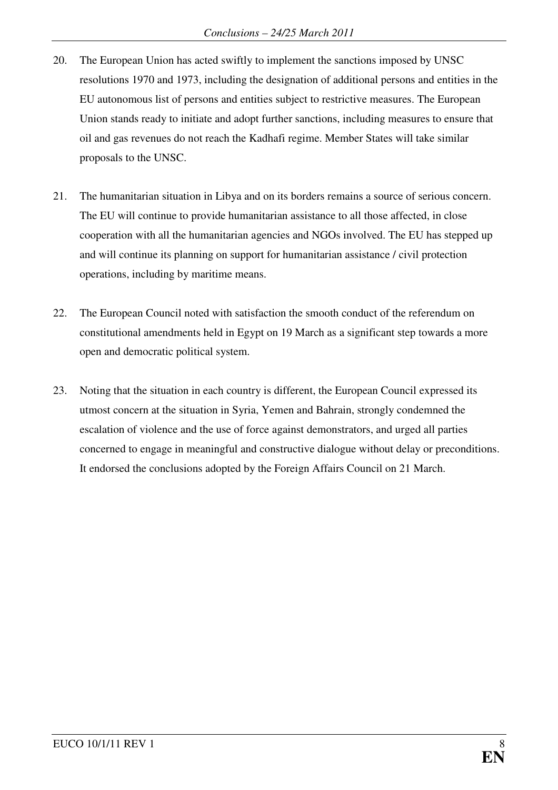- 20. The European Union has acted swiftly to implement the sanctions imposed by UNSC resolutions 1970 and 1973, including the designation of additional persons and entities in the EU autonomous list of persons and entities subject to restrictive measures. The European Union stands ready to initiate and adopt further sanctions, including measures to ensure that oil and gas revenues do not reach the Kadhafi regime. Member States will take similar proposals to the UNSC.
- 21. The humanitarian situation in Libya and on its borders remains a source of serious concern. The EU will continue to provide humanitarian assistance to all those affected, in close cooperation with all the humanitarian agencies and NGOs involved. The EU has stepped up and will continue its planning on support for humanitarian assistance / civil protection operations, including by maritime means.
- 22. The European Council noted with satisfaction the smooth conduct of the referendum on constitutional amendments held in Egypt on 19 March as a significant step towards a more open and democratic political system.
- 23. Noting that the situation in each country is different, the European Council expressed its utmost concern at the situation in Syria, Yemen and Bahrain, strongly condemned the escalation of violence and the use of force against demonstrators, and urged all parties concerned to engage in meaningful and constructive dialogue without delay or preconditions. It endorsed the conclusions adopted by the Foreign Affairs Council on 21 March.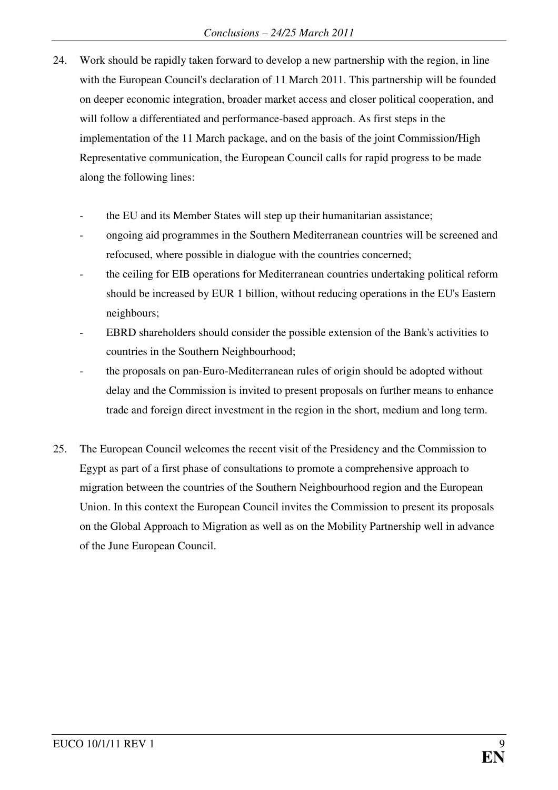- 24. Work should be rapidly taken forward to develop a new partnership with the region, in line with the European Council's declaration of 11 March 2011. This partnership will be founded on deeper economic integration, broader market access and closer political cooperation, and will follow a differentiated and performance-based approach. As first steps in the implementation of the 11 March package, and on the basis of the joint Commission/High Representative communication, the European Council calls for rapid progress to be made along the following lines:
	- the EU and its Member States will step up their humanitarian assistance;
	- ongoing aid programmes in the Southern Mediterranean countries will be screened and refocused, where possible in dialogue with the countries concerned;
	- the ceiling for EIB operations for Mediterranean countries undertaking political reform should be increased by EUR 1 billion, without reducing operations in the EU's Eastern neighbours;
	- EBRD shareholders should consider the possible extension of the Bank's activities to countries in the Southern Neighbourhood;
	- the proposals on pan-Euro-Mediterranean rules of origin should be adopted without delay and the Commission is invited to present proposals on further means to enhance trade and foreign direct investment in the region in the short, medium and long term.
- 25. The European Council welcomes the recent visit of the Presidency and the Commission to Egypt as part of a first phase of consultations to promote a comprehensive approach to migration between the countries of the Southern Neighbourhood region and the European Union. In this context the European Council invites the Commission to present its proposals on the Global Approach to Migration as well as on the Mobility Partnership well in advance of the June European Council.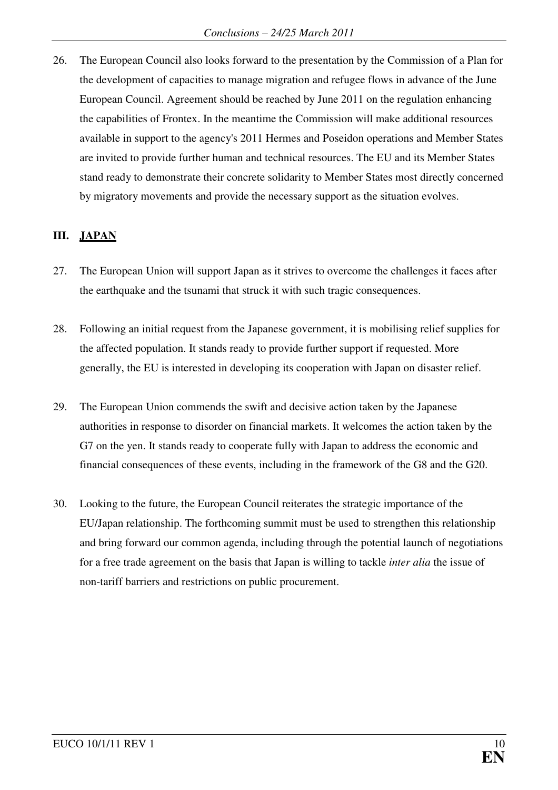26. The European Council also looks forward to the presentation by the Commission of a Plan for the development of capacities to manage migration and refugee flows in advance of the June European Council. Agreement should be reached by June 2011 on the regulation enhancing the capabilities of Frontex. In the meantime the Commission will make additional resources available in support to the agency's 2011 Hermes and Poseidon operations and Member States are invited to provide further human and technical resources. The EU and its Member States stand ready to demonstrate their concrete solidarity to Member States most directly concerned by migratory movements and provide the necessary support as the situation evolves.

# **III. JAPAN**

- 27. The European Union will support Japan as it strives to overcome the challenges it faces after the earthquake and the tsunami that struck it with such tragic consequences.
- 28. Following an initial request from the Japanese government, it is mobilising relief supplies for the affected population. It stands ready to provide further support if requested. More generally, the EU is interested in developing its cooperation with Japan on disaster relief.
- 29. The European Union commends the swift and decisive action taken by the Japanese authorities in response to disorder on financial markets. It welcomes the action taken by the G7 on the yen. It stands ready to cooperate fully with Japan to address the economic and financial consequences of these events, including in the framework of the G8 and the G20.
- 30. Looking to the future, the European Council reiterates the strategic importance of the EU/Japan relationship. The forthcoming summit must be used to strengthen this relationship and bring forward our common agenda, including through the potential launch of negotiations for a free trade agreement on the basis that Japan is willing to tackle *inter alia* the issue of non-tariff barriers and restrictions on public procurement.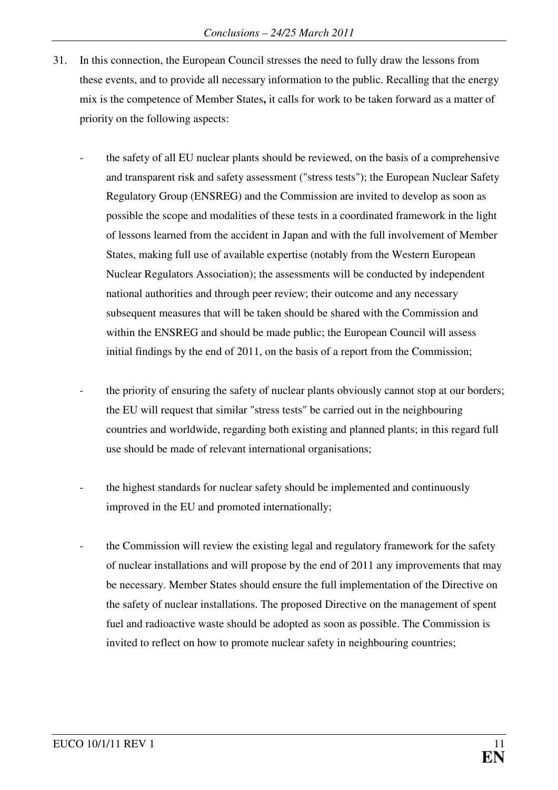- 31. In this connection, the European Council stresses the need to fully draw the lessons from these events, and to provide all necessary information to the public. Recalling that the energy mix is the competence of Member States**,** it calls for work to be taken forward as a matter of priority on the following aspects:
	- the safety of all EU nuclear plants should be reviewed, on the basis of a comprehensive and transparent risk and safety assessment ("stress tests"); the European Nuclear Safety Regulatory Group (ENSREG) and the Commission are invited to develop as soon as possible the scope and modalities of these tests in a coordinated framework in the light of lessons learned from the accident in Japan and with the full involvement of Member States, making full use of available expertise (notably from the Western European Nuclear Regulators Association); the assessments will be conducted by independent national authorities and through peer review; their outcome and any necessary subsequent measures that will be taken should be shared with the Commission and within the ENSREG and should be made public; the European Council will assess initial findings by the end of 2011, on the basis of a report from the Commission;
	- the priority of ensuring the safety of nuclear plants obviously cannot stop at our borders; the EU will request that similar "stress tests" be carried out in the neighbouring countries and worldwide, regarding both existing and planned plants; in this regard full use should be made of relevant international organisations;
	- the highest standards for nuclear safety should be implemented and continuously improved in the EU and promoted internationally;
	- the Commission will review the existing legal and regulatory framework for the safety of nuclear installations and will propose by the end of 2011 any improvements that may be necessary. Member States should ensure the full implementation of the Directive on the safety of nuclear installations. The proposed Directive on the management of spent fuel and radioactive waste should be adopted as soon as possible. The Commission is invited to reflect on how to promote nuclear safety in neighbouring countries;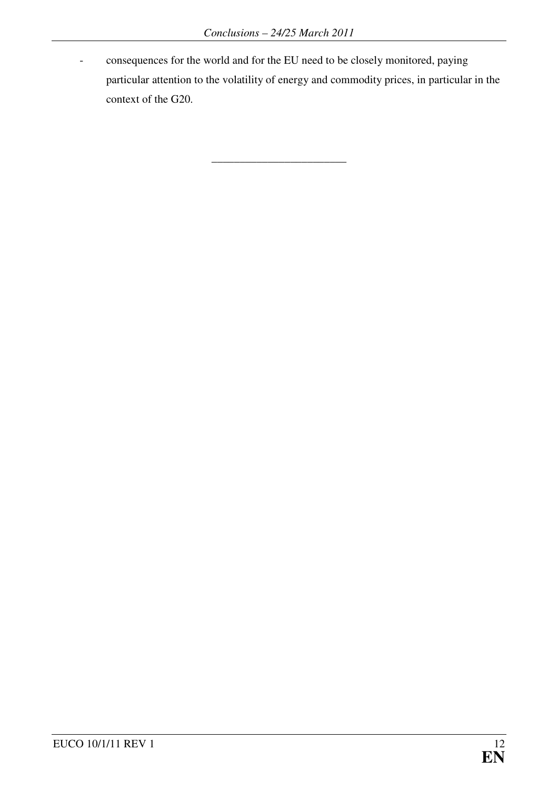- consequences for the world and for the EU need to be closely monitored, paying particular attention to the volatility of energy and commodity prices, in particular in the context of the G20.

\_\_\_\_\_\_\_\_\_\_\_\_\_\_\_\_\_\_\_\_\_\_\_\_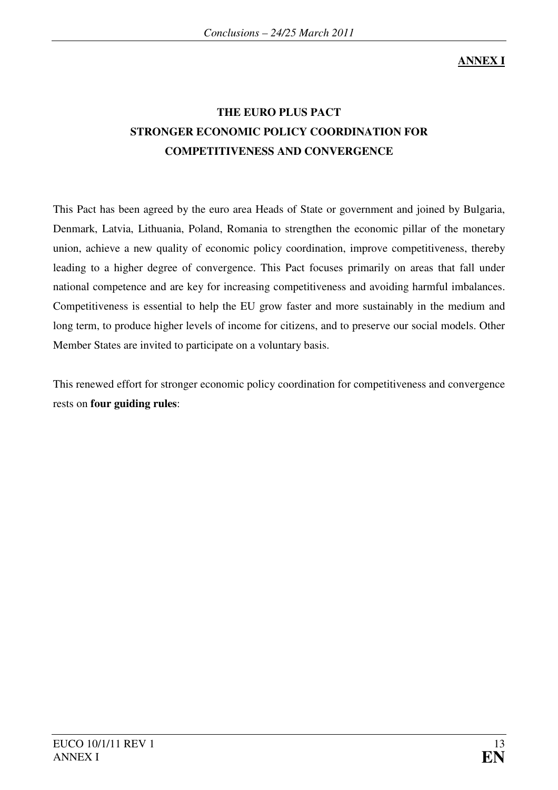# **ANNEX I**

# **THE EURO PLUS PACT STRONGER ECONOMIC POLICY COORDINATION FOR COMPETITIVENESS AND CONVERGENCE**

This Pact has been agreed by the euro area Heads of State or government and joined by Bulgaria, Denmark, Latvia, Lithuania, Poland, Romania to strengthen the economic pillar of the monetary union, achieve a new quality of economic policy coordination, improve competitiveness, thereby leading to a higher degree of convergence. This Pact focuses primarily on areas that fall under national competence and are key for increasing competitiveness and avoiding harmful imbalances. Competitiveness is essential to help the EU grow faster and more sustainably in the medium and long term, to produce higher levels of income for citizens, and to preserve our social models. Other Member States are invited to participate on a voluntary basis.

This renewed effort for stronger economic policy coordination for competitiveness and convergence rests on **four guiding rules**: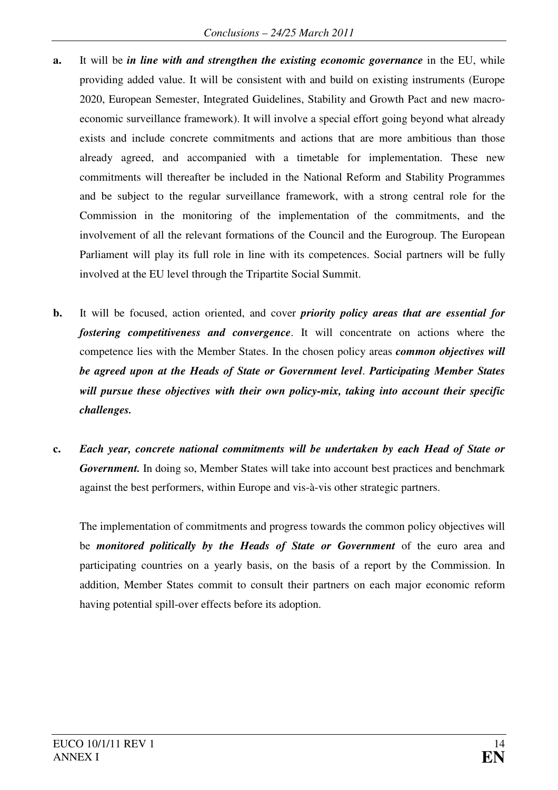- **a.** It will be *in line with and strengthen the existing economic governance* in the EU, while providing added value. It will be consistent with and build on existing instruments (Europe 2020, European Semester, Integrated Guidelines, Stability and Growth Pact and new macroeconomic surveillance framework). It will involve a special effort going beyond what already exists and include concrete commitments and actions that are more ambitious than those already agreed, and accompanied with a timetable for implementation. These new commitments will thereafter be included in the National Reform and Stability Programmes and be subject to the regular surveillance framework, with a strong central role for the Commission in the monitoring of the implementation of the commitments, and the involvement of all the relevant formations of the Council and the Eurogroup. The European Parliament will play its full role in line with its competences. Social partners will be fully involved at the EU level through the Tripartite Social Summit.
- **b.** It will be focused, action oriented, and cover *priority policy areas that are essential for fostering competitiveness and convergence*. It will concentrate on actions where the competence lies with the Member States. In the chosen policy areas *common objectives will be agreed upon at the Heads of State or Government level*. *Participating Member States will pursue these objectives with their own policy-mix, taking into account their specific challenges.*
- **c.** *Each year, concrete national commitments will be undertaken by each Head of State or Government*. In doing so, Member States will take into account best practices and benchmark against the best performers, within Europe and vis-à-vis other strategic partners.

 The implementation of commitments and progress towards the common policy objectives will be *monitored politically by the Heads of State or Government* of the euro area and participating countries on a yearly basis, on the basis of a report by the Commission. In addition, Member States commit to consult their partners on each major economic reform having potential spill-over effects before its adoption.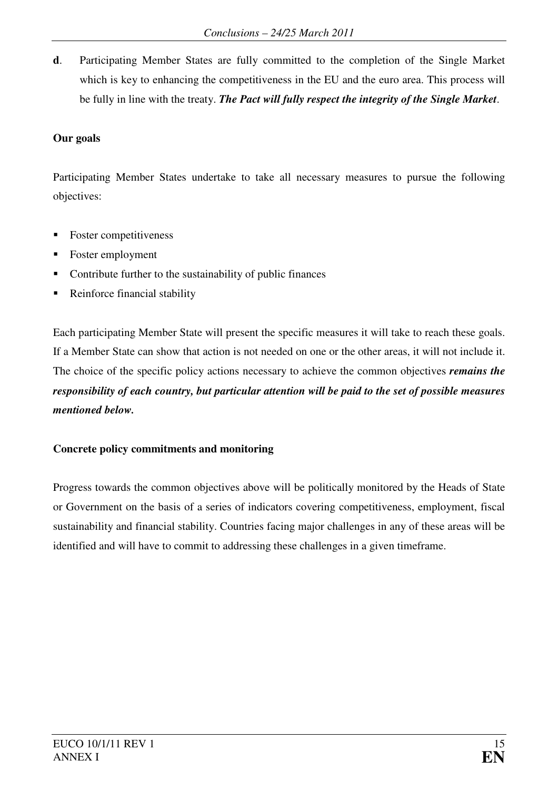**d**. Participating Member States are fully committed to the completion of the Single Market which is key to enhancing the competitiveness in the EU and the euro area. This process will be fully in line with the treaty. *The Pact will fully respect the integrity of the Single Market*.

## **Our goals**

Participating Member States undertake to take all necessary measures to pursue the following objectives:

- **Foster competitiveness**
- Foster employment
- Contribute further to the sustainability of public finances
- Reinforce financial stability

Each participating Member State will present the specific measures it will take to reach these goals. If a Member State can show that action is not needed on one or the other areas, it will not include it. The choice of the specific policy actions necessary to achieve the common objectives *remains the responsibility of each country, but particular attention will be paid to the set of possible measures mentioned below.* 

## **Concrete policy commitments and monitoring**

Progress towards the common objectives above will be politically monitored by the Heads of State or Government on the basis of a series of indicators covering competitiveness, employment, fiscal sustainability and financial stability. Countries facing major challenges in any of these areas will be identified and will have to commit to addressing these challenges in a given timeframe.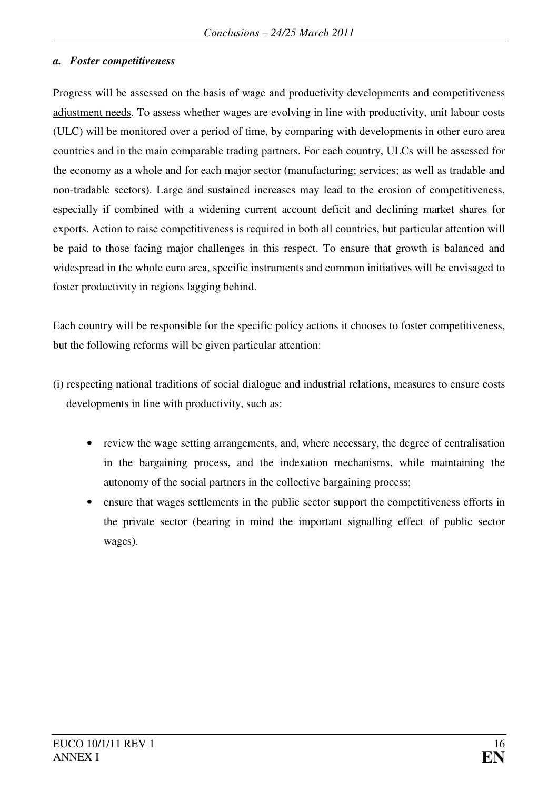#### *a. Foster competitiveness*

Progress will be assessed on the basis of wage and productivity developments and competitiveness adjustment needs. To assess whether wages are evolving in line with productivity, unit labour costs (ULC) will be monitored over a period of time, by comparing with developments in other euro area countries and in the main comparable trading partners. For each country, ULCs will be assessed for the economy as a whole and for each major sector (manufacturing; services; as well as tradable and non-tradable sectors). Large and sustained increases may lead to the erosion of competitiveness, especially if combined with a widening current account deficit and declining market shares for exports. Action to raise competitiveness is required in both all countries, but particular attention will be paid to those facing major challenges in this respect. To ensure that growth is balanced and widespread in the whole euro area, specific instruments and common initiatives will be envisaged to foster productivity in regions lagging behind.

Each country will be responsible for the specific policy actions it chooses to foster competitiveness, but the following reforms will be given particular attention:

- (i) respecting national traditions of social dialogue and industrial relations, measures to ensure costs developments in line with productivity, such as:
	- review the wage setting arrangements, and, where necessary, the degree of centralisation in the bargaining process, and the indexation mechanisms, while maintaining the autonomy of the social partners in the collective bargaining process;
	- ensure that wages settlements in the public sector support the competitiveness efforts in the private sector (bearing in mind the important signalling effect of public sector wages).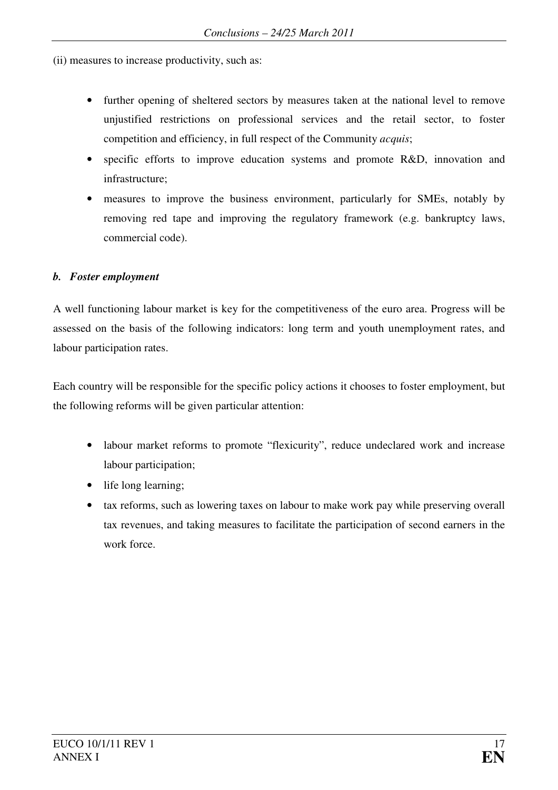(ii) measures to increase productivity, such as:

- further opening of sheltered sectors by measures taken at the national level to remove unjustified restrictions on professional services and the retail sector, to foster competition and efficiency, in full respect of the Community *acquis*;
- specific efforts to improve education systems and promote R&D, innovation and infrastructure;
- measures to improve the business environment, particularly for SMEs, notably by removing red tape and improving the regulatory framework (e.g. bankruptcy laws, commercial code).

## *b. Foster employment*

A well functioning labour market is key for the competitiveness of the euro area. Progress will be assessed on the basis of the following indicators: long term and youth unemployment rates, and labour participation rates.

Each country will be responsible for the specific policy actions it chooses to foster employment, but the following reforms will be given particular attention:

- labour market reforms to promote "flexicurity", reduce undeclared work and increase labour participation;
- life long learning;
- tax reforms, such as lowering taxes on labour to make work pay while preserving overall tax revenues, and taking measures to facilitate the participation of second earners in the work force.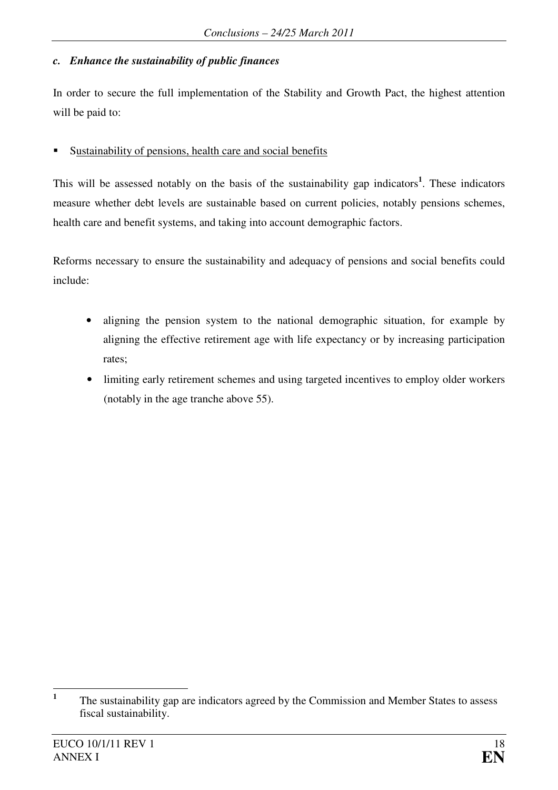## *c. Enhance the sustainability of public finances*

In order to secure the full implementation of the Stability and Growth Pact, the highest attention will be paid to:

## Sustainability of pensions, health care and social benefits

This will be assessed notably on the basis of the sustainability gap indicators**<sup>1</sup>** . These indicators measure whether debt levels are sustainable based on current policies, notably pensions schemes, health care and benefit systems, and taking into account demographic factors.

Reforms necessary to ensure the sustainability and adequacy of pensions and social benefits could include:

- aligning the pension system to the national demographic situation, for example by aligning the effective retirement age with life expectancy or by increasing participation rates;
- limiting early retirement schemes and using targeted incentives to employ older workers (notably in the age tranche above 55).

 **1** The sustainability gap are indicators agreed by the Commission and Member States to assess fiscal sustainability.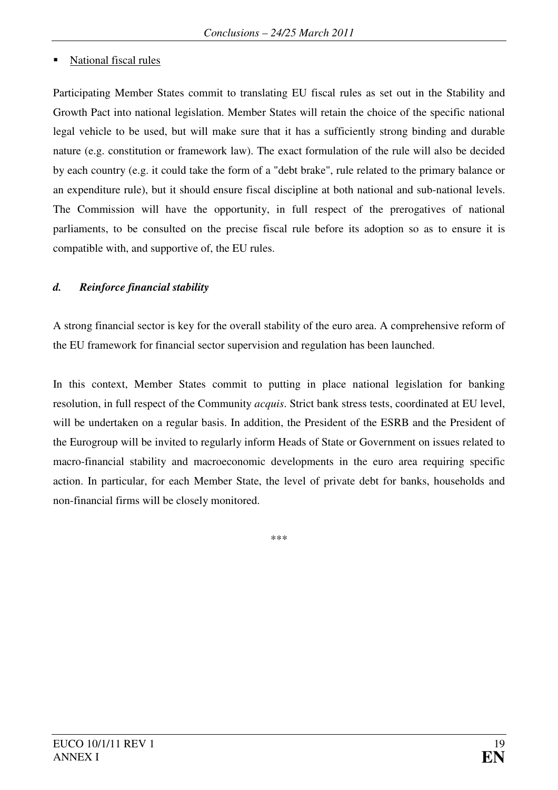## National fiscal rules

Participating Member States commit to translating EU fiscal rules as set out in the Stability and Growth Pact into national legislation. Member States will retain the choice of the specific national legal vehicle to be used, but will make sure that it has a sufficiently strong binding and durable nature (e.g. constitution or framework law). The exact formulation of the rule will also be decided by each country (e.g. it could take the form of a "debt brake", rule related to the primary balance or an expenditure rule), but it should ensure fiscal discipline at both national and sub-national levels. The Commission will have the opportunity, in full respect of the prerogatives of national parliaments, to be consulted on the precise fiscal rule before its adoption so as to ensure it is compatible with, and supportive of, the EU rules.

#### *d. Reinforce financial stability*

A strong financial sector is key for the overall stability of the euro area. A comprehensive reform of the EU framework for financial sector supervision and regulation has been launched.

In this context, Member States commit to putting in place national legislation for banking resolution, in full respect of the Community *acquis*. Strict bank stress tests, coordinated at EU level, will be undertaken on a regular basis. In addition, the President of the ESRB and the President of the Eurogroup will be invited to regularly inform Heads of State or Government on issues related to macro-financial stability and macroeconomic developments in the euro area requiring specific action. In particular, for each Member State, the level of private debt for banks, households and non-financial firms will be closely monitored.

\*\*\*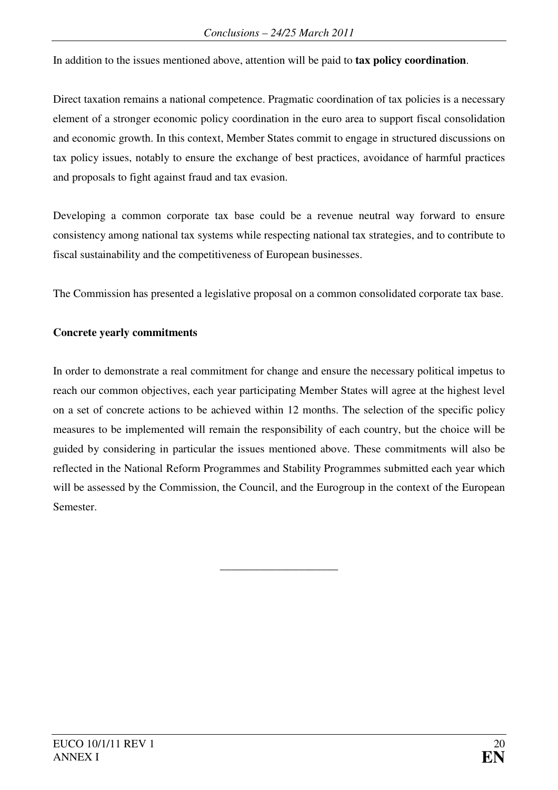In addition to the issues mentioned above, attention will be paid to **tax policy coordination**.

Direct taxation remains a national competence. Pragmatic coordination of tax policies is a necessary element of a stronger economic policy coordination in the euro area to support fiscal consolidation and economic growth. In this context, Member States commit to engage in structured discussions on tax policy issues, notably to ensure the exchange of best practices, avoidance of harmful practices and proposals to fight against fraud and tax evasion.

Developing a common corporate tax base could be a revenue neutral way forward to ensure consistency among national tax systems while respecting national tax strategies, and to contribute to fiscal sustainability and the competitiveness of European businesses.

The Commission has presented a legislative proposal on a common consolidated corporate tax base.

# **Concrete yearly commitments**

In order to demonstrate a real commitment for change and ensure the necessary political impetus to reach our common objectives, each year participating Member States will agree at the highest level on a set of concrete actions to be achieved within 12 months. The selection of the specific policy measures to be implemented will remain the responsibility of each country, but the choice will be guided by considering in particular the issues mentioned above. These commitments will also be reflected in the National Reform Programmes and Stability Programmes submitted each year which will be assessed by the Commission, the Council, and the Eurogroup in the context of the European Semester.

\_\_\_\_\_\_\_\_\_\_\_\_\_\_\_\_\_\_\_\_\_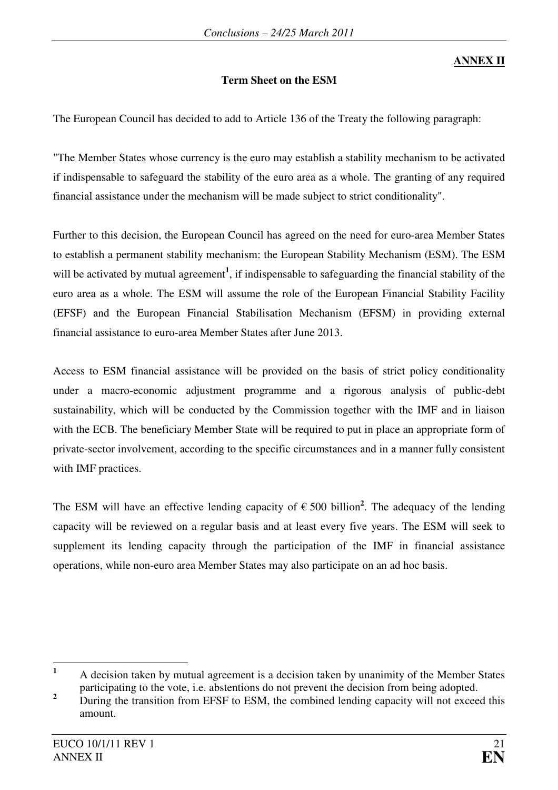# **ANNEX II**

## **Term Sheet on the ESM**

The European Council has decided to add to Article 136 of the Treaty the following paragraph:

"The Member States whose currency is the euro may establish a stability mechanism to be activated if indispensable to safeguard the stability of the euro area as a whole. The granting of any required financial assistance under the mechanism will be made subject to strict conditionality".

Further to this decision, the European Council has agreed on the need for euro-area Member States to establish a permanent stability mechanism: the European Stability Mechanism (ESM). The ESM will be activated by mutual agreement<sup>1</sup>, if indispensable to safeguarding the financial stability of the euro area as a whole. The ESM will assume the role of the European Financial Stability Facility (EFSF) and the European Financial Stabilisation Mechanism (EFSM) in providing external financial assistance to euro-area Member States after June 2013.

Access to ESM financial assistance will be provided on the basis of strict policy conditionality under a macro-economic adjustment programme and a rigorous analysis of public-debt sustainability, which will be conducted by the Commission together with the IMF and in liaison with the ECB. The beneficiary Member State will be required to put in place an appropriate form of private-sector involvement, according to the specific circumstances and in a manner fully consistent with IMF practices.

The ESM will have an effective lending capacity of  $\epsilon$  500 billion<sup>2</sup>. The adequacy of the lending capacity will be reviewed on a regular basis and at least every five years. The ESM will seek to supplement its lending capacity through the participation of the IMF in financial assistance operations, while non-euro area Member States may also participate on an ad hoc basis.

 **1** A decision taken by mutual agreement is a decision taken by unanimity of the Member States participating to the vote, i.e. abstentions do not prevent the decision from being adopted.

**<sup>2</sup>** During the transition from EFSF to ESM, the combined lending capacity will not exceed this amount.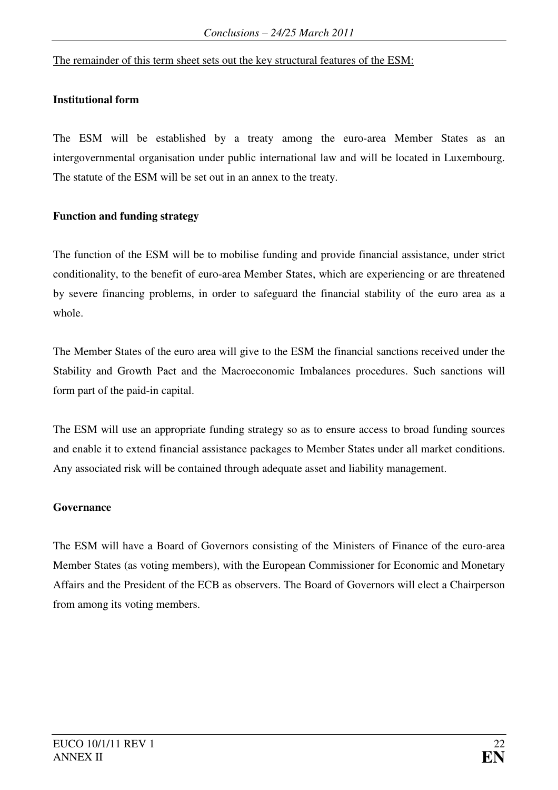The remainder of this term sheet sets out the key structural features of the ESM:

## **Institutional form**

The ESM will be established by a treaty among the euro-area Member States as an intergovernmental organisation under public international law and will be located in Luxembourg. The statute of the ESM will be set out in an annex to the treaty.

## **Function and funding strategy**

The function of the ESM will be to mobilise funding and provide financial assistance, under strict conditionality, to the benefit of euro-area Member States, which are experiencing or are threatened by severe financing problems, in order to safeguard the financial stability of the euro area as a whole.

The Member States of the euro area will give to the ESM the financial sanctions received under the Stability and Growth Pact and the Macroeconomic Imbalances procedures. Such sanctions will form part of the paid-in capital.

The ESM will use an appropriate funding strategy so as to ensure access to broad funding sources and enable it to extend financial assistance packages to Member States under all market conditions. Any associated risk will be contained through adequate asset and liability management.

## **Governance**

The ESM will have a Board of Governors consisting of the Ministers of Finance of the euro-area Member States (as voting members), with the European Commissioner for Economic and Monetary Affairs and the President of the ECB as observers. The Board of Governors will elect a Chairperson from among its voting members.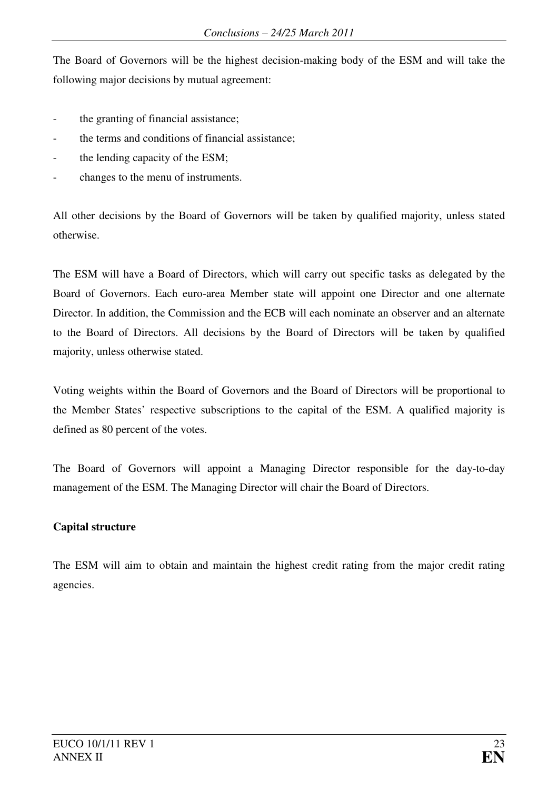The Board of Governors will be the highest decision-making body of the ESM and will take the following major decisions by mutual agreement:

- the granting of financial assistance;
- the terms and conditions of financial assistance;
- the lending capacity of the ESM;
- changes to the menu of instruments.

All other decisions by the Board of Governors will be taken by qualified majority, unless stated otherwise.

The ESM will have a Board of Directors, which will carry out specific tasks as delegated by the Board of Governors. Each euro-area Member state will appoint one Director and one alternate Director. In addition, the Commission and the ECB will each nominate an observer and an alternate to the Board of Directors. All decisions by the Board of Directors will be taken by qualified majority, unless otherwise stated.

Voting weights within the Board of Governors and the Board of Directors will be proportional to the Member States' respective subscriptions to the capital of the ESM. A qualified majority is defined as 80 percent of the votes.

The Board of Governors will appoint a Managing Director responsible for the day-to-day management of the ESM. The Managing Director will chair the Board of Directors.

# **Capital structure**

The ESM will aim to obtain and maintain the highest credit rating from the major credit rating agencies.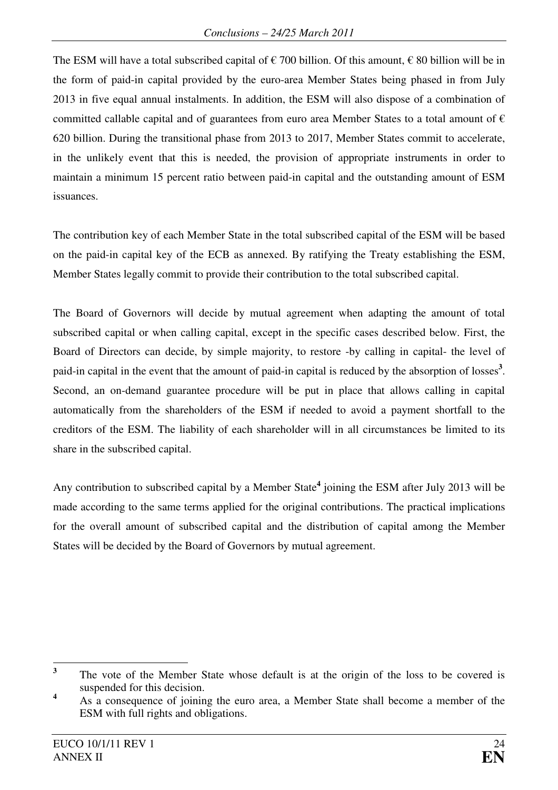The ESM will have a total subscribed capital of  $\epsilon$  700 billion. Of this amount,  $\epsilon$  80 billion will be in the form of paid-in capital provided by the euro-area Member States being phased in from July 2013 in five equal annual instalments. In addition, the ESM will also dispose of a combination of committed callable capital and of guarantees from euro area Member States to a total amount of  $\epsilon$ 620 billion. During the transitional phase from 2013 to 2017, Member States commit to accelerate, in the unlikely event that this is needed, the provision of appropriate instruments in order to maintain a minimum 15 percent ratio between paid-in capital and the outstanding amount of ESM issuances.

The contribution key of each Member State in the total subscribed capital of the ESM will be based on the paid-in capital key of the ECB as annexed. By ratifying the Treaty establishing the ESM, Member States legally commit to provide their contribution to the total subscribed capital.

The Board of Governors will decide by mutual agreement when adapting the amount of total subscribed capital or when calling capital, except in the specific cases described below. First, the Board of Directors can decide, by simple majority, to restore -by calling in capital- the level of paid-in capital in the event that the amount of paid-in capital is reduced by the absorption of losses<sup>3</sup>. Second, an on-demand guarantee procedure will be put in place that allows calling in capital automatically from the shareholders of the ESM if needed to avoid a payment shortfall to the creditors of the ESM. The liability of each shareholder will in all circumstances be limited to its share in the subscribed capital.

Any contribution to subscribed capital by a Member State**<sup>4</sup>** joining the ESM after July 2013 will be made according to the same terms applied for the original contributions. The practical implications for the overall amount of subscribed capital and the distribution of capital among the Member States will be decided by the Board of Governors by mutual agreement.

 **3** The vote of the Member State whose default is at the origin of the loss to be covered is suspended for this decision.

**<sup>4</sup>** As a consequence of joining the euro area, a Member State shall become a member of the ESM with full rights and obligations.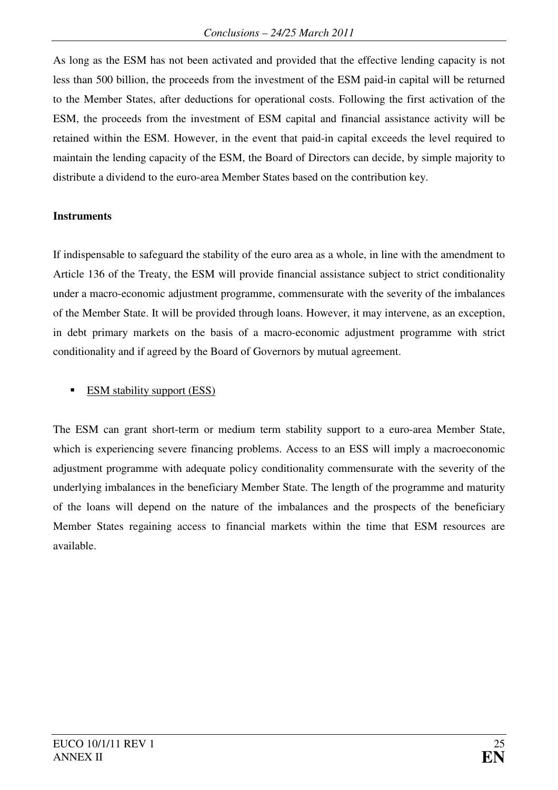As long as the ESM has not been activated and provided that the effective lending capacity is not less than 500 billion, the proceeds from the investment of the ESM paid-in capital will be returned to the Member States, after deductions for operational costs. Following the first activation of the ESM, the proceeds from the investment of ESM capital and financial assistance activity will be retained within the ESM. However, in the event that paid-in capital exceeds the level required to maintain the lending capacity of the ESM, the Board of Directors can decide, by simple majority to distribute a dividend to the euro-area Member States based on the contribution key.

## **Instruments**

If indispensable to safeguard the stability of the euro area as a whole, in line with the amendment to Article 136 of the Treaty, the ESM will provide financial assistance subject to strict conditionality under a macro-economic adjustment programme, commensurate with the severity of the imbalances of the Member State. It will be provided through loans. However, it may intervene, as an exception, in debt primary markets on the basis of a macro-economic adjustment programme with strict conditionality and if agreed by the Board of Governors by mutual agreement.

## ESM stability support (ESS)

The ESM can grant short-term or medium term stability support to a euro-area Member State, which is experiencing severe financing problems. Access to an ESS will imply a macroeconomic adjustment programme with adequate policy conditionality commensurate with the severity of the underlying imbalances in the beneficiary Member State. The length of the programme and maturity of the loans will depend on the nature of the imbalances and the prospects of the beneficiary Member States regaining access to financial markets within the time that ESM resources are available.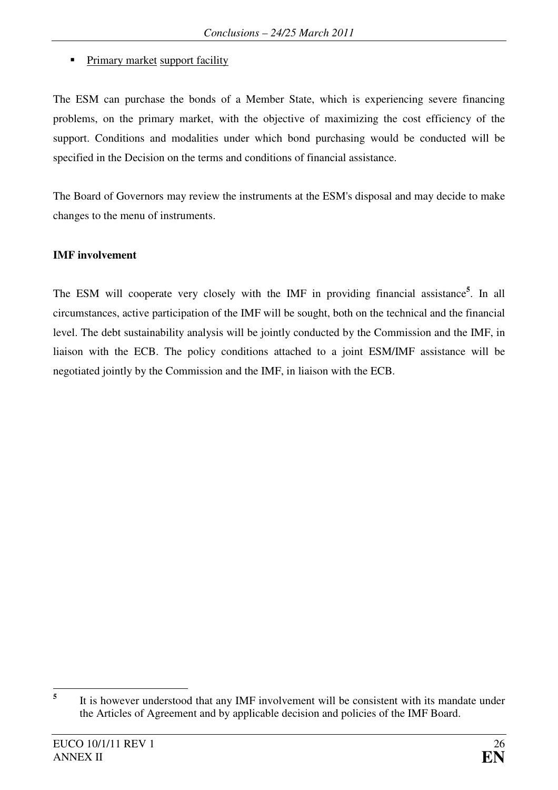## **Primary market support facility**

The ESM can purchase the bonds of a Member State, which is experiencing severe financing problems, on the primary market, with the objective of maximizing the cost efficiency of the support. Conditions and modalities under which bond purchasing would be conducted will be specified in the Decision on the terms and conditions of financial assistance.

The Board of Governors may review the instruments at the ESM's disposal and may decide to make changes to the menu of instruments.

## **IMF involvement**

The ESM will cooperate very closely with the IMF in providing financial assistance**<sup>5</sup>** . In all circumstances, active participation of the IMF will be sought, both on the technical and the financial level. The debt sustainability analysis will be jointly conducted by the Commission and the IMF, in liaison with the ECB. The policy conditions attached to a joint ESM/IMF assistance will be negotiated jointly by the Commission and the IMF, in liaison with the ECB.

 **5** It is however understood that any IMF involvement will be consistent with its mandate under the Articles of Agreement and by applicable decision and policies of the IMF Board.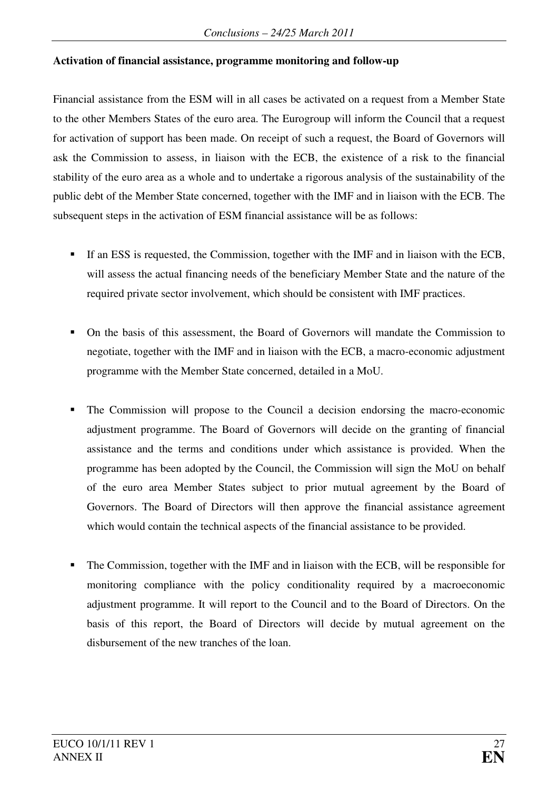## **Activation of financial assistance, programme monitoring and follow-up**

Financial assistance from the ESM will in all cases be activated on a request from a Member State to the other Members States of the euro area. The Eurogroup will inform the Council that a request for activation of support has been made. On receipt of such a request, the Board of Governors will ask the Commission to assess, in liaison with the ECB, the existence of a risk to the financial stability of the euro area as a whole and to undertake a rigorous analysis of the sustainability of the public debt of the Member State concerned, together with the IMF and in liaison with the ECB. The subsequent steps in the activation of ESM financial assistance will be as follows:

- If an ESS is requested, the Commission, together with the IMF and in liaison with the ECB, will assess the actual financing needs of the beneficiary Member State and the nature of the required private sector involvement, which should be consistent with IMF practices.
- On the basis of this assessment, the Board of Governors will mandate the Commission to negotiate, together with the IMF and in liaison with the ECB, a macro-economic adjustment programme with the Member State concerned, detailed in a MoU.
- The Commission will propose to the Council a decision endorsing the macro-economic adjustment programme. The Board of Governors will decide on the granting of financial assistance and the terms and conditions under which assistance is provided. When the programme has been adopted by the Council, the Commission will sign the MoU on behalf of the euro area Member States subject to prior mutual agreement by the Board of Governors. The Board of Directors will then approve the financial assistance agreement which would contain the technical aspects of the financial assistance to be provided.
- The Commission, together with the IMF and in liaison with the ECB, will be responsible for monitoring compliance with the policy conditionality required by a macroeconomic adjustment programme. It will report to the Council and to the Board of Directors. On the basis of this report, the Board of Directors will decide by mutual agreement on the disbursement of the new tranches of the loan.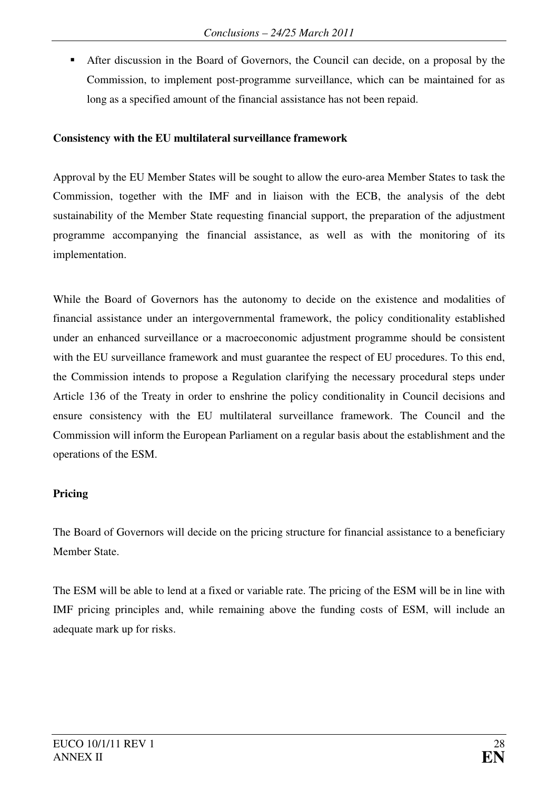After discussion in the Board of Governors, the Council can decide, on a proposal by the Commission, to implement post-programme surveillance, which can be maintained for as long as a specified amount of the financial assistance has not been repaid.

## **Consistency with the EU multilateral surveillance framework**

Approval by the EU Member States will be sought to allow the euro-area Member States to task the Commission, together with the IMF and in liaison with the ECB, the analysis of the debt sustainability of the Member State requesting financial support, the preparation of the adjustment programme accompanying the financial assistance, as well as with the monitoring of its implementation.

While the Board of Governors has the autonomy to decide on the existence and modalities of financial assistance under an intergovernmental framework, the policy conditionality established under an enhanced surveillance or a macroeconomic adjustment programme should be consistent with the EU surveillance framework and must guarantee the respect of EU procedures. To this end, the Commission intends to propose a Regulation clarifying the necessary procedural steps under Article 136 of the Treaty in order to enshrine the policy conditionality in Council decisions and ensure consistency with the EU multilateral surveillance framework. The Council and the Commission will inform the European Parliament on a regular basis about the establishment and the operations of the ESM.

# **Pricing**

The Board of Governors will decide on the pricing structure for financial assistance to a beneficiary Member State.

The ESM will be able to lend at a fixed or variable rate. The pricing of the ESM will be in line with IMF pricing principles and, while remaining above the funding costs of ESM, will include an adequate mark up for risks.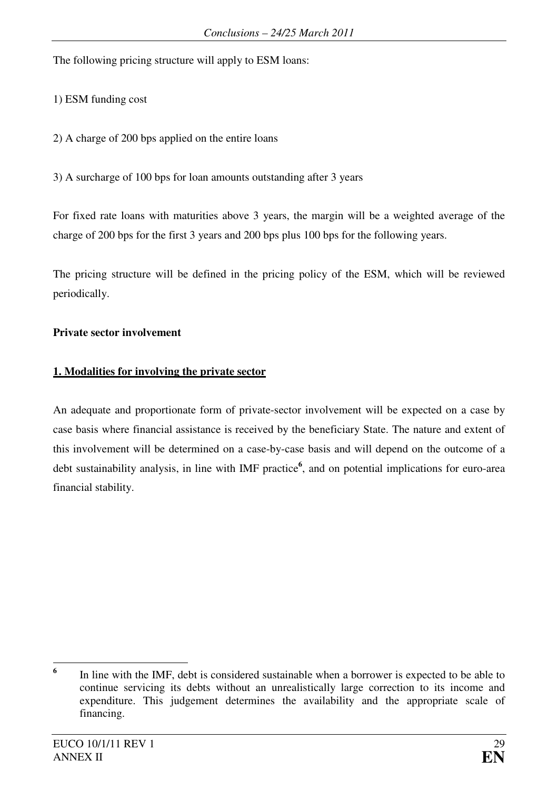The following pricing structure will apply to ESM loans:

1) ESM funding cost

2) A charge of 200 bps applied on the entire loans

3) A surcharge of 100 bps for loan amounts outstanding after 3 years

For fixed rate loans with maturities above 3 years, the margin will be a weighted average of the charge of 200 bps for the first 3 years and 200 bps plus 100 bps for the following years.

The pricing structure will be defined in the pricing policy of the ESM, which will be reviewed periodically.

# **Private sector involvement**

# **1. Modalities for involving the private sector**

An adequate and proportionate form of private-sector involvement will be expected on a case by case basis where financial assistance is received by the beneficiary State. The nature and extent of this involvement will be determined on a case-by-case basis and will depend on the outcome of a debt sustainability analysis, in line with IMF practice**<sup>6</sup>** , and on potential implications for euro-area financial stability.

 **6** In line with the IMF, debt is considered sustainable when a borrower is expected to be able to continue servicing its debts without an unrealistically large correction to its income and expenditure. This judgement determines the availability and the appropriate scale of financing.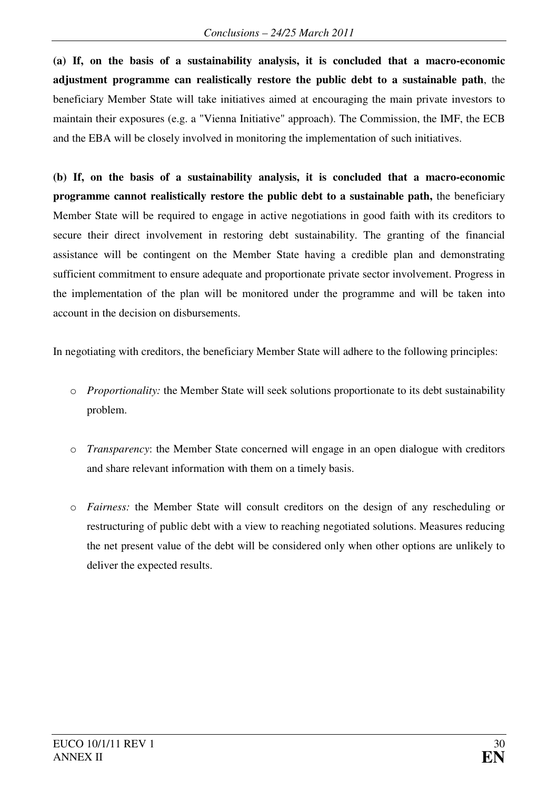**(a) If, on the basis of a sustainability analysis, it is concluded that a macro-economic adjustment programme can realistically restore the public debt to a sustainable path**, the beneficiary Member State will take initiatives aimed at encouraging the main private investors to maintain their exposures (e.g. a "Vienna Initiative" approach). The Commission, the IMF, the ECB and the EBA will be closely involved in monitoring the implementation of such initiatives.

**(b) If, on the basis of a sustainability analysis, it is concluded that a macro-economic programme cannot realistically restore the public debt to a sustainable path,** the beneficiary Member State will be required to engage in active negotiations in good faith with its creditors to secure their direct involvement in restoring debt sustainability. The granting of the financial assistance will be contingent on the Member State having a credible plan and demonstrating sufficient commitment to ensure adequate and proportionate private sector involvement. Progress in the implementation of the plan will be monitored under the programme and will be taken into account in the decision on disbursements.

In negotiating with creditors, the beneficiary Member State will adhere to the following principles:

- o *Proportionality:* the Member State will seek solutions proportionate to its debt sustainability problem.
- o *Transparency*: the Member State concerned will engage in an open dialogue with creditors and share relevant information with them on a timely basis.
- o *Fairness:* the Member State will consult creditors on the design of any rescheduling or restructuring of public debt with a view to reaching negotiated solutions. Measures reducing the net present value of the debt will be considered only when other options are unlikely to deliver the expected results.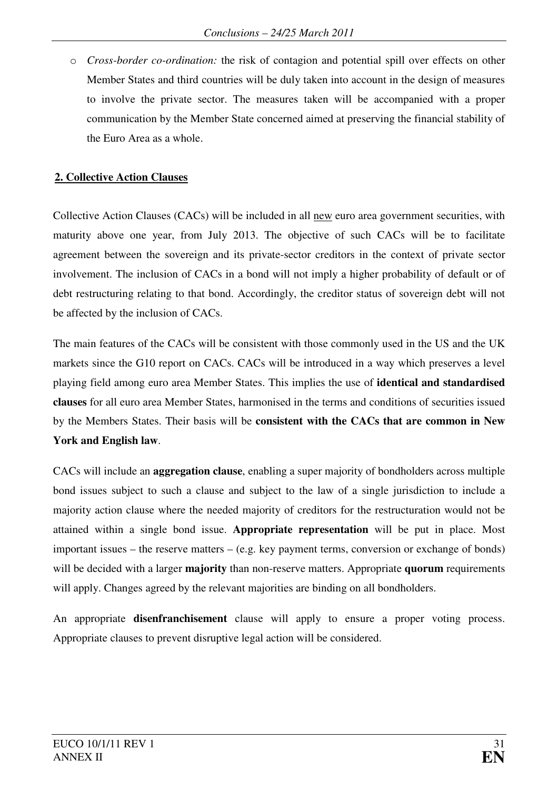o *Cross-border co-ordination:* the risk of contagion and potential spill over effects on other Member States and third countries will be duly taken into account in the design of measures to involve the private sector. The measures taken will be accompanied with a proper communication by the Member State concerned aimed at preserving the financial stability of the Euro Area as a whole.

# **2. Collective Action Clauses**

Collective Action Clauses (CACs) will be included in all new euro area government securities, with maturity above one year, from July 2013. The objective of such CACs will be to facilitate agreement between the sovereign and its private-sector creditors in the context of private sector involvement. The inclusion of CACs in a bond will not imply a higher probability of default or of debt restructuring relating to that bond. Accordingly, the creditor status of sovereign debt will not be affected by the inclusion of CACs.

The main features of the CACs will be consistent with those commonly used in the US and the UK markets since the G10 report on CACs. CACs will be introduced in a way which preserves a level playing field among euro area Member States. This implies the use of **identical and standardised clauses** for all euro area Member States, harmonised in the terms and conditions of securities issued by the Members States. Their basis will be **consistent with the CACs that are common in New York and English law**.

CACs will include an **aggregation clause**, enabling a super majority of bondholders across multiple bond issues subject to such a clause and subject to the law of a single jurisdiction to include a majority action clause where the needed majority of creditors for the restructuration would not be attained within a single bond issue. **Appropriate representation** will be put in place. Most important issues – the reserve matters – (e.g. key payment terms, conversion or exchange of bonds) will be decided with a larger **majority** than non-reserve matters. Appropriate **quorum** requirements will apply. Changes agreed by the relevant majorities are binding on all bondholders.

An appropriate **disenfranchisement** clause will apply to ensure a proper voting process. Appropriate clauses to prevent disruptive legal action will be considered.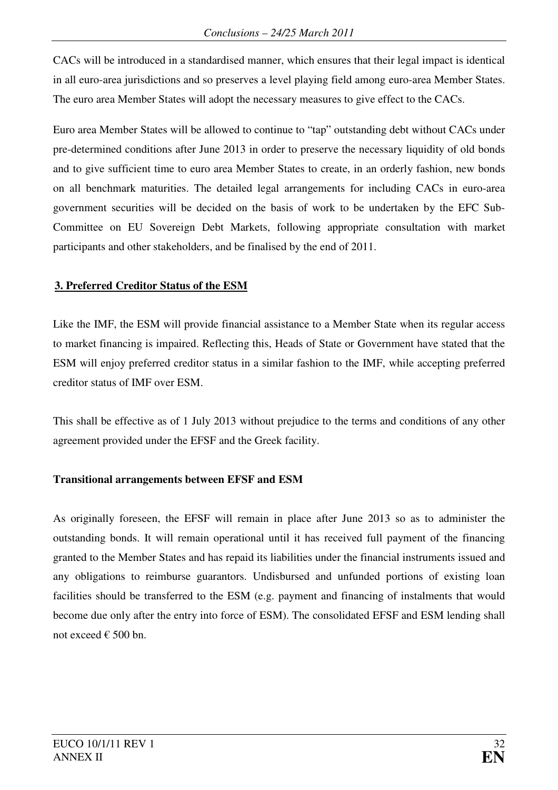CACs will be introduced in a standardised manner, which ensures that their legal impact is identical in all euro-area jurisdictions and so preserves a level playing field among euro-area Member States. The euro area Member States will adopt the necessary measures to give effect to the CACs.

Euro area Member States will be allowed to continue to "tap" outstanding debt without CACs under pre-determined conditions after June 2013 in order to preserve the necessary liquidity of old bonds and to give sufficient time to euro area Member States to create, in an orderly fashion, new bonds on all benchmark maturities. The detailed legal arrangements for including CACs in euro-area government securities will be decided on the basis of work to be undertaken by the EFC Sub-Committee on EU Sovereign Debt Markets, following appropriate consultation with market participants and other stakeholders, and be finalised by the end of 2011.

## **3. Preferred Creditor Status of the ESM**

Like the IMF, the ESM will provide financial assistance to a Member State when its regular access to market financing is impaired. Reflecting this, Heads of State or Government have stated that the ESM will enjoy preferred creditor status in a similar fashion to the IMF, while accepting preferred creditor status of IMF over ESM.

This shall be effective as of 1 July 2013 without prejudice to the terms and conditions of any other agreement provided under the EFSF and the Greek facility.

# **Transitional arrangements between EFSF and ESM**

As originally foreseen, the EFSF will remain in place after June 2013 so as to administer the outstanding bonds. It will remain operational until it has received full payment of the financing granted to the Member States and has repaid its liabilities under the financial instruments issued and any obligations to reimburse guarantors. Undisbursed and unfunded portions of existing loan facilities should be transferred to the ESM (e.g. payment and financing of instalments that would become due only after the entry into force of ESM). The consolidated EFSF and ESM lending shall not exceed  $\epsilon$  500 bn.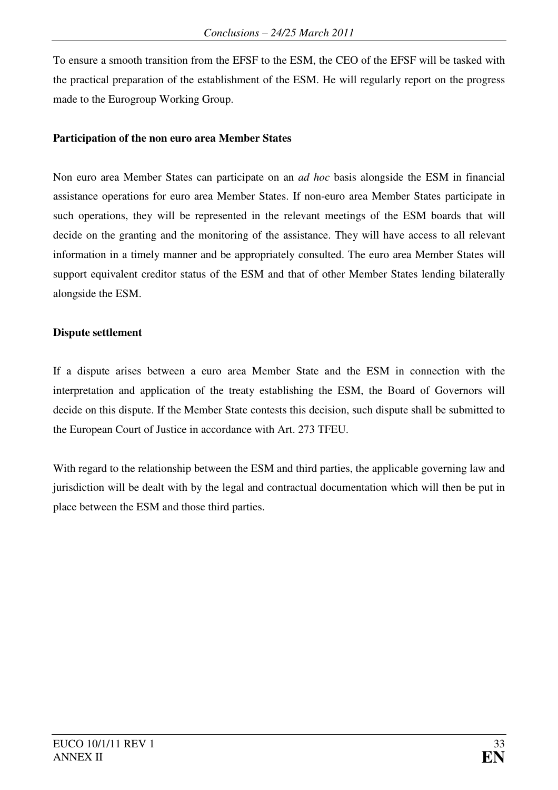To ensure a smooth transition from the EFSF to the ESM, the CEO of the EFSF will be tasked with the practical preparation of the establishment of the ESM. He will regularly report on the progress made to the Eurogroup Working Group.

## **Participation of the non euro area Member States**

Non euro area Member States can participate on an *ad hoc* basis alongside the ESM in financial assistance operations for euro area Member States. If non-euro area Member States participate in such operations, they will be represented in the relevant meetings of the ESM boards that will decide on the granting and the monitoring of the assistance. They will have access to all relevant information in a timely manner and be appropriately consulted. The euro area Member States will support equivalent creditor status of the ESM and that of other Member States lending bilaterally alongside the ESM.

## **Dispute settlement**

If a dispute arises between a euro area Member State and the ESM in connection with the interpretation and application of the treaty establishing the ESM, the Board of Governors will decide on this dispute. If the Member State contests this decision, such dispute shall be submitted to the European Court of Justice in accordance with Art. 273 TFEU.

With regard to the relationship between the ESM and third parties, the applicable governing law and jurisdiction will be dealt with by the legal and contractual documentation which will then be put in place between the ESM and those third parties.